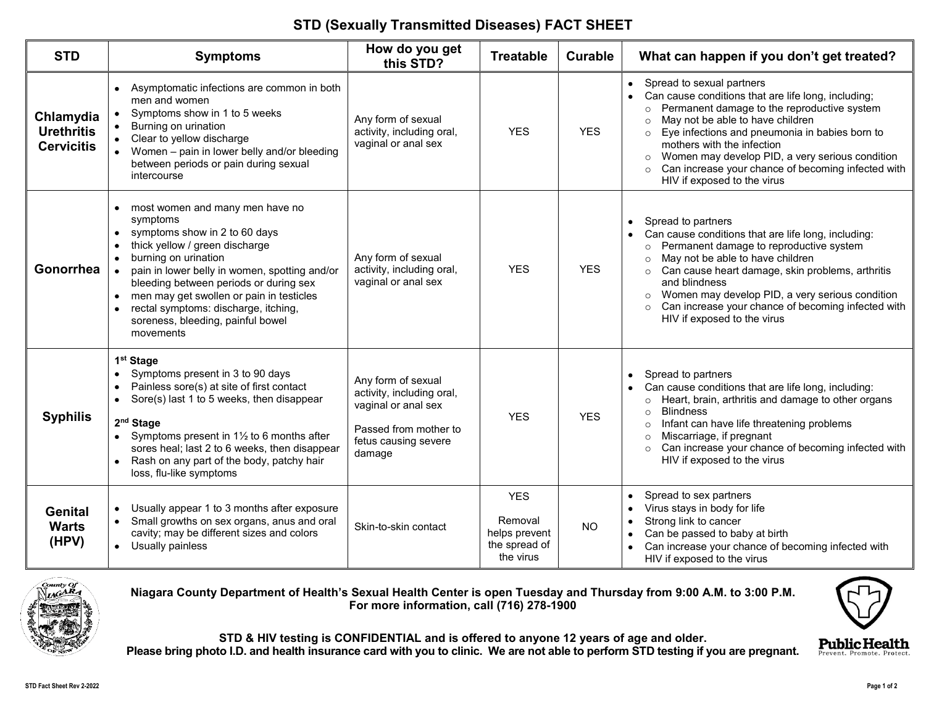## **STD (Sexually Transmitted Diseases) FACT SHEET**

| <b>STD</b>                                          | <b>Symptoms</b>                                                                                                                                                                                                                                                                                                                                                                                                                               | How do you get<br>this STD?                                                                                                       | <b>Treatable</b>                                                     | <b>Curable</b> | What can happen if you don't get treated?                                                                                                                                                                                                                                                                                                                                                                                          |
|-----------------------------------------------------|-----------------------------------------------------------------------------------------------------------------------------------------------------------------------------------------------------------------------------------------------------------------------------------------------------------------------------------------------------------------------------------------------------------------------------------------------|-----------------------------------------------------------------------------------------------------------------------------------|----------------------------------------------------------------------|----------------|------------------------------------------------------------------------------------------------------------------------------------------------------------------------------------------------------------------------------------------------------------------------------------------------------------------------------------------------------------------------------------------------------------------------------------|
| Chlamydia<br><b>Urethritis</b><br><b>Cervicitis</b> | Asymptomatic infections are common in both<br>$\bullet$<br>men and women<br>Symptoms show in 1 to 5 weeks<br>$\bullet$<br>Burning on urination<br>Clear to yellow discharge<br>Women - pain in lower belly and/or bleeding<br>between periods or pain during sexual<br>intercourse                                                                                                                                                            | Any form of sexual<br>activity, including oral,<br>vaginal or anal sex                                                            | <b>YES</b>                                                           | <b>YES</b>     | Spread to sexual partners<br>$\bullet$<br>Can cause conditions that are life long, including;<br>$\bullet$<br>o Permanent damage to the reproductive system<br>May not be able to have children<br>Eye infections and pneumonia in babies born to<br>mothers with the infection<br>Women may develop PID, a very serious condition<br>$\circ$<br>Can increase your chance of becoming infected with<br>HIV if exposed to the virus |
| Gonorrhea                                           | most women and many men have no<br>$\bullet$<br>symptoms<br>symptoms show in 2 to 60 days<br>٠<br>thick yellow / green discharge<br>$\bullet$<br>burning on urination<br>$\bullet$<br>pain in lower belly in women, spotting and/or<br>bleeding between periods or during sex<br>men may get swollen or pain in testicles<br>$\bullet$<br>rectal symptoms: discharge, itching,<br>$\bullet$<br>soreness, bleeding, painful bowel<br>movements | Any form of sexual<br>activity, including oral,<br>vaginal or anal sex                                                            | <b>YES</b>                                                           | <b>YES</b>     | Spread to partners<br>$\bullet$<br>Can cause conditions that are life long, including:<br>Permanent damage to reproductive system<br>May not be able to have children<br>Can cause heart damage, skin problems, arthritis<br>and blindness<br>Women may develop PID, a very serious condition<br>Can increase your chance of becoming infected with<br>HIV if exposed to the virus                                                 |
| <b>Syphilis</b>                                     | 1 <sup>st</sup> Stage<br>Symptoms present in 3 to 90 days<br>$\bullet$<br>Painless sore(s) at site of first contact<br>$\bullet$<br>Sore(s) last 1 to 5 weeks, then disappear<br>$\bullet$<br>2 <sup>nd</sup> Stage<br>Symptoms present in 11/2 to 6 months after<br>$\bullet$<br>sores heal; last 2 to 6 weeks, then disappear<br>Rash on any part of the body, patchy hair<br>loss, flu-like symptoms                                       | Any form of sexual<br>activity, including oral,<br>vaginal or anal sex<br>Passed from mother to<br>fetus causing severe<br>damage | <b>YES</b>                                                           | <b>YES</b>     | Spread to partners<br>$\bullet$<br>Can cause conditions that are life long, including:<br>Heart, brain, arthritis and damage to other organs<br>$\circ$<br><b>Blindness</b><br>$\circ$<br>Infant can have life threatening problems<br>$\circ$<br>Miscarriage, if pregnant<br>$\circ$<br>Can increase your chance of becoming infected with<br>HIV if exposed to the virus                                                         |
| <b>Genital</b><br><b>Warts</b><br>(HPV)             | Usually appear 1 to 3 months after exposure<br>$\bullet$<br>Small growths on sex organs, anus and oral<br>cavity; may be different sizes and colors<br>Usually painless                                                                                                                                                                                                                                                                       | Skin-to-skin contact                                                                                                              | <b>YES</b><br>Removal<br>helps prevent<br>the spread of<br>the virus | <b>NO</b>      | Spread to sex partners<br>Virus stays in body for life<br>Strong link to cancer<br>Can be passed to baby at birth<br>Can increase your chance of becoming infected with<br>HIV if exposed to the virus                                                                                                                                                                                                                             |



**Niagara County Department of Health's Sexual Health Center is open Tuesday and Thursday from 9:00 A.M. to 3:00 P.M. For more information, call (716) 278-1900**



Prevent. Promote. Protect

**STD & HIV testing is CONFIDENTIAL and is offered to anyone 12 years of age and older.**

**Please bring photo I.D. and health insurance card with you to clinic. We are not able to perform STD testing if you are pregnant.**